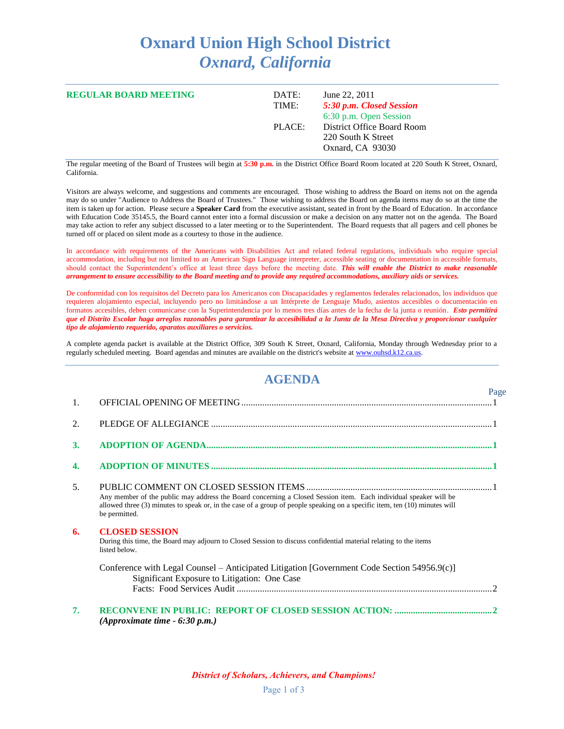## **Oxnard Union High School District** *Oxnard, California*

| <b>REGULAR BOARD MEETING</b> | June 22, 2011<br>DATE:<br>TIME: | 5:30 p.m. Closed Session<br>6:30 p.m. Open Session                   |
|------------------------------|---------------------------------|----------------------------------------------------------------------|
|                              | PLACE:                          | District Office Board Room<br>220 South K Street<br>Oxnard, CA 93030 |

The regular meeting of the Board of Trustees will begin at **5:30 p.m.** in the District Office Board Room located at 220 South K Street, Oxnard, California.

Visitors are always welcome, and suggestions and comments are encouraged. Those wishing to address the Board on items not on the agenda may do so under "Audience to Address the Board of Trustees." Those wishing to address the Board on agenda items may do so at the time the item is taken up for action. Please secure a **Speaker Card** from the executive assistant, seated in front by the Board of Education. In accordance with Education Code 35145.5, the Board cannot enter into a formal discussion or make a decision on any matter not on the agenda. The Board may take action to refer any subject discussed to a later meeting or to the Superintendent. The Board requests that all pagers and cell phones be turned off or placed on silent mode as a courtesy to those in the audience.

In accordance with requirements of the Americans with Disabilities Act and related federal regulations, individuals who require special accommodation, including but not limited to an American Sign Language interpreter, accessible seating or documentation in accessible formats, should contact the Superintendent's office at least three days before the meeting date. *This will enable the District to make reasonable arrangement to ensure accessibility to the Board meeting and to provide any required accommodations, auxiliary aids or services.*

De conformidad con los requisitos del Decreto para los Americanos con Discapacidades y reglamentos federales relacionados, los individuos que requieren alojamiento especial, incluyendo pero no limitándose a un Intérprete de Lenguaje Mudo, asientos accesibles o documentación en formatos accesibles, deben comunicarse con la Superintendencia por lo menos tres días antes de la fecha de la junta o reunión. *Esto permitirá que el Distrito Escolar haga arreglos razonables para garantizar la accesibilidad a la Junta de la Mesa Directiva y proporcionar cualquier tipo de alojamiento requerido, aparatos auxiliares o servicios.*

A complete agenda packet is available at the District Office, 309 South K Street, Oxnard, California, Monday through Wednesday prior to a regularly scheduled meeting. Board agendas and minutes are available on the district's website a[t www.ouhsd.k12.ca.us.](http://www.ouhsd.k12.ca.us/)

## **AGENDA**

|    |                                                                                                                                                                                                                                                                 | Page |
|----|-----------------------------------------------------------------------------------------------------------------------------------------------------------------------------------------------------------------------------------------------------------------|------|
| 1. |                                                                                                                                                                                                                                                                 |      |
| 2. |                                                                                                                                                                                                                                                                 |      |
| 3. |                                                                                                                                                                                                                                                                 |      |
| 4. |                                                                                                                                                                                                                                                                 |      |
| 5. | Any member of the public may address the Board concerning a Closed Session item. Each individual speaker will be<br>allowed three (3) minutes to speak or, in the case of a group of people speaking on a specific item, ten (10) minutes will<br>be permitted. |      |
| 6. | <b>CLOSED SESSION</b><br>During this time, the Board may adjourn to Closed Session to discuss confidential material relating to the items<br>listed below.                                                                                                      |      |
|    | Conference with Legal Counsel – Anticipated Litigation [Government Code Section 54956.9(c)]<br>Significant Exposure to Litigation: One Case                                                                                                                     |      |
|    |                                                                                                                                                                                                                                                                 |      |
| 7. | (Approximate time $-6:30$ p.m.)                                                                                                                                                                                                                                 |      |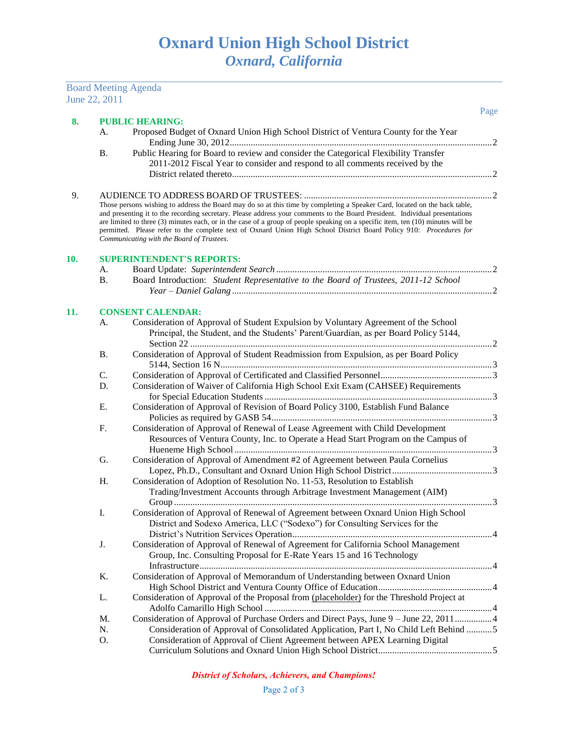|     | June 22, 2011 | <b>Board Meeting Agenda</b>                                                                                                                                                                                                                                                                                                                                                                                                                                                                                                                                      |      |
|-----|---------------|------------------------------------------------------------------------------------------------------------------------------------------------------------------------------------------------------------------------------------------------------------------------------------------------------------------------------------------------------------------------------------------------------------------------------------------------------------------------------------------------------------------------------------------------------------------|------|
|     |               |                                                                                                                                                                                                                                                                                                                                                                                                                                                                                                                                                                  | Page |
| 8.  |               | <b>PUBLIC HEARING:</b>                                                                                                                                                                                                                                                                                                                                                                                                                                                                                                                                           |      |
|     | A.            | Proposed Budget of Oxnard Union High School District of Ventura County for the Year                                                                                                                                                                                                                                                                                                                                                                                                                                                                              |      |
|     | <b>B.</b>     | Public Hearing for Board to review and consider the Categorical Flexibility Transfer                                                                                                                                                                                                                                                                                                                                                                                                                                                                             |      |
|     |               | 2011-2012 Fiscal Year to consider and respond to all comments received by the                                                                                                                                                                                                                                                                                                                                                                                                                                                                                    |      |
|     |               |                                                                                                                                                                                                                                                                                                                                                                                                                                                                                                                                                                  |      |
| 9.  |               |                                                                                                                                                                                                                                                                                                                                                                                                                                                                                                                                                                  |      |
|     |               | Those persons wishing to address the Board may do so at this time by completing a Speaker Card, located on the back table,<br>and presenting it to the recording secretary. Please address your comments to the Board President. Individual presentations<br>are limited to three (3) minutes each, or in the case of a group of people speaking on a specific item, ten (10) minutes will be<br>permitted. Please refer to the complete text of Oxnard Union High School District Board Policy 910: Procedures for<br>Communicating with the Board of Trustees. |      |
| 10. |               | <b>SUPERINTENDENT'S REPORTS:</b>                                                                                                                                                                                                                                                                                                                                                                                                                                                                                                                                 |      |
|     | А.            |                                                                                                                                                                                                                                                                                                                                                                                                                                                                                                                                                                  |      |
|     | <b>B.</b>     | Board Introduction: Student Representative to the Board of Trustees, 2011-12 School                                                                                                                                                                                                                                                                                                                                                                                                                                                                              |      |
|     |               |                                                                                                                                                                                                                                                                                                                                                                                                                                                                                                                                                                  |      |
| 11. | А.            | <b>CONSENT CALENDAR:</b><br>Consideration of Approval of Student Expulsion by Voluntary Agreement of the School<br>Principal, the Student, and the Students' Parent/Guardian, as per Board Policy 5144,                                                                                                                                                                                                                                                                                                                                                          |      |
|     | <b>B.</b>     | Consideration of Approval of Student Readmission from Expulsion, as per Board Policy                                                                                                                                                                                                                                                                                                                                                                                                                                                                             |      |
|     |               |                                                                                                                                                                                                                                                                                                                                                                                                                                                                                                                                                                  |      |
|     | C.            |                                                                                                                                                                                                                                                                                                                                                                                                                                                                                                                                                                  |      |
|     | D.            | Consideration of Waiver of California High School Exit Exam (CAHSEE) Requirements                                                                                                                                                                                                                                                                                                                                                                                                                                                                                |      |
|     |               |                                                                                                                                                                                                                                                                                                                                                                                                                                                                                                                                                                  |      |
|     | Ε.            | Consideration of Approval of Revision of Board Policy 3100, Establish Fund Balance                                                                                                                                                                                                                                                                                                                                                                                                                                                                               |      |
|     |               |                                                                                                                                                                                                                                                                                                                                                                                                                                                                                                                                                                  |      |
|     | F.            | Consideration of Approval of Renewal of Lease Agreement with Child Development<br>Resources of Ventura County, Inc. to Operate a Head Start Program on the Campus of                                                                                                                                                                                                                                                                                                                                                                                             |      |
|     |               |                                                                                                                                                                                                                                                                                                                                                                                                                                                                                                                                                                  |      |
|     | G.            | Consideration of Approval of Amendment #2 of Agreement between Paula Cornelius                                                                                                                                                                                                                                                                                                                                                                                                                                                                                   |      |
|     |               |                                                                                                                                                                                                                                                                                                                                                                                                                                                                                                                                                                  |      |
|     | H.            | Consideration of Adoption of Resolution No. 11-53, Resolution to Establish                                                                                                                                                                                                                                                                                                                                                                                                                                                                                       |      |
|     |               | Trading/Investment Accounts through Arbitrage Investment Management (AIM)                                                                                                                                                                                                                                                                                                                                                                                                                                                                                        |      |
|     |               |                                                                                                                                                                                                                                                                                                                                                                                                                                                                                                                                                                  |      |
|     | I.            | Consideration of Approval of Renewal of Agreement between Oxnard Union High School                                                                                                                                                                                                                                                                                                                                                                                                                                                                               |      |
|     |               | District and Sodexo America, LLC ("Sodexo") for Consulting Services for the                                                                                                                                                                                                                                                                                                                                                                                                                                                                                      |      |
|     |               |                                                                                                                                                                                                                                                                                                                                                                                                                                                                                                                                                                  |      |
|     | J.            | Consideration of Approval of Renewal of Agreement for California School Management                                                                                                                                                                                                                                                                                                                                                                                                                                                                               |      |
|     |               | Group, Inc. Consulting Proposal for E-Rate Years 15 and 16 Technology                                                                                                                                                                                                                                                                                                                                                                                                                                                                                            |      |
|     | K.            | Consideration of Approval of Memorandum of Understanding between Oxnard Union                                                                                                                                                                                                                                                                                                                                                                                                                                                                                    |      |
|     |               |                                                                                                                                                                                                                                                                                                                                                                                                                                                                                                                                                                  |      |
|     | L.            | Consideration of Approval of the Proposal from (placeholder) for the Threshold Project at                                                                                                                                                                                                                                                                                                                                                                                                                                                                        |      |
|     |               |                                                                                                                                                                                                                                                                                                                                                                                                                                                                                                                                                                  |      |
|     | M.            | Consideration of Approval of Purchase Orders and Direct Pays, June 9 - June 22, 2011 4                                                                                                                                                                                                                                                                                                                                                                                                                                                                           |      |
|     | N.            | Consideration of Approval of Consolidated Application, Part I, No Child Left Behind 5                                                                                                                                                                                                                                                                                                                                                                                                                                                                            |      |
|     | O.            | Consideration of Approval of Client Agreement between APEX Learning Digital                                                                                                                                                                                                                                                                                                                                                                                                                                                                                      |      |
|     |               |                                                                                                                                                                                                                                                                                                                                                                                                                                                                                                                                                                  |      |